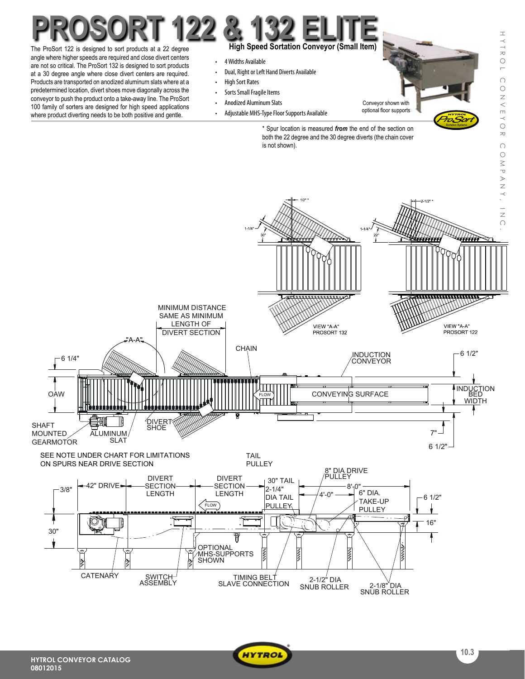## **High Speed Sortation Conveyor (Small Item)** The ProSort 122 is designed to sort products at a 22 degree **ProSort 122 & 132 Elite**

angle where higher speeds are required and close divert centers are not so critical. The ProSort 132 is designed to sort products at a 30 degree angle where close divert centers are required. Products are transported on anodized aluminum slats where at a predetermined location, divert shoes move diagonally across the conveyor to push the product onto a take-away line. The ProSort 100 family of sorters are designed for high speed applications where product diverting needs to be both positive and gentle.

- 4 Widths Available
- Dual, Right or Left Hand Diverts Available
- • High Sort Rates
- Sorts Small Fragile Items
- • Anodized Aluminum Slats
- Adjustable MHS-Type Floor Supports Available

Conveyor shown with optional floor supports ProSort

**Sortation Systems** 

 $\pm$ 

YTROI

 $\bigcap$ 

ONNEYO

 $\overline{\sim}$  $\bigcap$  $\bigcirc$ 

\* Spur location is measured *from* the end of the section on both the 22 degree and the 30 degree diverts (the chain cover is not shown).